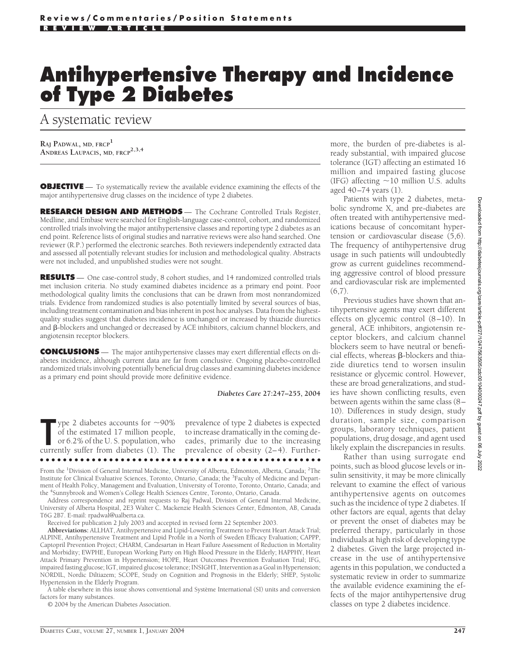# **Antihypertensive Therapy and Incidence of Type 2 Diabetes**

A systematic review

**RAJ PADWAL, MD, FRCP<sup>1</sup> ANDREAS LAUPACIS, MD, FRCP2,3,4**

**OBJECTIVE** — To systematically review the available evidence examining the effects of the major antihypertensive drug classes on the incidence of type 2 diabetes.

**RESEARCH DESIGN AND METHODS** — The Cochrane Controlled Trials Register, Medline, and Embase were searched for English-language case-control, cohort, and randomized controlled trials involving the major antihypertensive classes and reporting type 2 diabetes as an end point. Reference lists of original studies and narrative reviews were also hand searched. One reviewer (R.P.) performed the electronic searches. Both reviewers independently extracted data and assessed all potentially relevant studies for inclusion and methodological quality. Abstracts were not included, and unpublished studies were not sought.

**RESULTS** — One case-control study, 8 cohort studies, and 14 randomized controlled trials met inclusion criteria. No study examined diabetes incidence as a primary end point. Poor methodological quality limits the conclusions that can be drawn from most nonrandomized trials. Evidence from randomized studies is also potentially limited by several sources of bias, including treatment contamination and bias inherent in post hoc analyses. Data from the highestquality studies suggest that diabetes incidence is unchanged or increased by thiazide diuretics and  $\beta$ -blockers and unchanged or decreased by ACE inhibitors, calcium channel blockers, and angiotensin receptor blockers.

**CONCLUSIONS** — The major antihypertensive classes may exert differential effects on diabetes incidence, although current data are far from conclusive. Ongoing placebo-controlled randomized trials involving potentially beneficial drug classes and examining diabetes incidence as a primary end point should provide more definitive evidence.

*Diabetes Care* **27:247–255, 2004**

The suffered suffered 17 million people, or  $6.2\%$  of the U.S. population, who currently suffer from diabetes (1). The ype 2 diabetes accounts for  $\sim$ 90% of the estimated 17 million people, or 6.2% of the U. S. population, who

prevalence of type 2 diabetes is expected to increase dramatically in the coming decades, primarily due to the increasing prevalence of obesity (2–4). Further-

From the <sup>1</sup>Division of General Internal Medicine, University of Alberta, Edmonton, Alberta, Canada; <sup>2</sup>The Institute for Clinical Evaluative Sciences, Toronto, Ontario, Canada; the <sup>3</sup>Faculty of Medicine and Department of Health Policy, Management and Evaluation, University of Toronto, Toronto, Ontario, Canada; and the <sup>4</sup> Sunnybrook and Women's College Health Sciences Centre, Toronto, Ontario, Canada.

●●●●●●●●●●●●●●●●●●●●●●●●●●●●●●●●●●●●●●●●●●●●●●●●●

Address correspondence and reprint requests to Raj Padwal, Division of General Internal Medicine, University of Alberta Hospital, 2E3 Walter C. Mackenzie Health Sciences Center, Edmonton, AB, Canada T6G 2B7. E-mail: rpadwal@ualberta.ca.

Received for publication 2 July 2003 and accepted in revised form 22 September 2003.

**Abbreviations:** ALLHAT, Antihypertensive and Lipid-Lowering Treatment to Prevent Heart Attack Trial; ALPINE, Antihypertensive Treatment and Lipid Profile in a North of Sweden Efficacy Evaluation; CAPPP, Captopril Prevention Project; CHARM, Candesartan in Heart Failure Assessment of Reduction in Mortality and Morbidity; EWPHE, European Working Party on High Blood Pressure in the Elderly; HAPPHY, Heart Attack Primary Prevention in Hypertension; HOPE, Heart Outcomes Prevention Evaluation Trial; IFG, impaired fasting glucose; IGT, impaired glucose tolerance; INSIGHT, Intervention as a Goal in Hypertension; NORDIL, Nordic Diltiazem; SCOPE, Study on Cognition and Prognosis in the Elderly; SHEP, Systolic Hypertension in the Elderly Program.

A table elsewhere in this issue shows conventional and Système International (SI) units and conversion factors for many substances.

© 2004 by the American Diabetes Association.

more, the burden of pre-diabetes is already substantial, with impaired glucose tolerance (IGT) affecting an estimated 16 million and impaired fasting glucose (IFG) affecting  $\sim$  10 million U.S. adults aged 40–74 years (1).

Patients with type 2 diabetes, metabolic syndrome X, and pre-diabetes are often treated with antihypertensive medications because of concomitant hypertension or cardiovascular disease (5,6). The frequency of antihypertensive drug usage in such patients will undoubtedly grow as current guidelines recommending aggressive control of blood pressure and cardiovascular risk are implemented  $(6.7)$ .

Previous studies have shown that antihypertensive agents may exert different effects on glycemic control (8–10). In general, ACE inhibitors, angiotensin receptor blockers, and calcium channel blockers seem to have neutral or beneficial effects, whereas  $\beta$ -blockers and thiazide diuretics tend to worsen insulin resistance or glycemic control. However, these are broad generalizations, and studies have shown conflicting results, even between agents within the same class (8– 10). Differences in study design, study duration, sample size, comparison groups, laboratory techniques, patient populations, drug dosage, and agent used likely explain the discrepancies in results.

Rather than using surrogate end points, such as blood glucose levels or insulin sensitivity, it may be more clinically relevant to examine the effect of various antihypertensive agents on outcomes such as the incidence of type 2 diabetes. If other factors are equal, agents that delay or prevent the onset of diabetes may be preferred therapy, particularly in those individuals at high risk of developing type 2 diabetes. Given the large projected increase in the use of antihypertensive agents in this population, we conducted a systematic review in order to summarize the available evidence examining the effects of the major antihypertensive drug classes on type 2 diabetes incidence.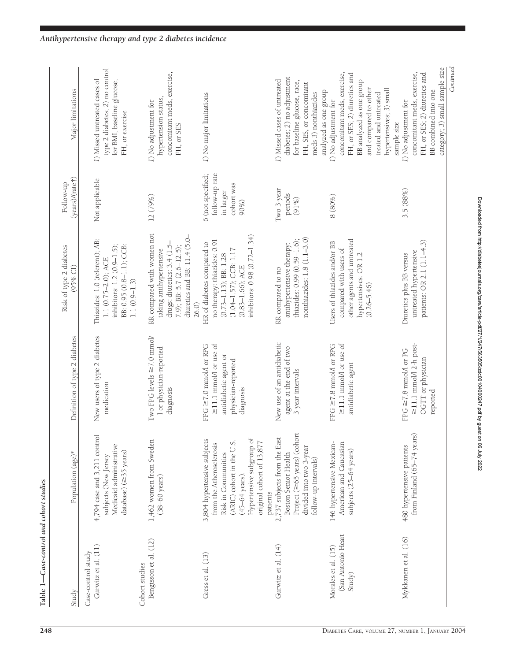| Study                                               | Population (age)*                                                                                                                                                                                  | Definition of type 2 diabetes                                                                                            | Risk of type 2 diabetes<br>(95% CI)                                                                                                                                             | (years)/(rate†)<br>Follow-up                                           | Major limitations                                                                                                                                                                                                     |
|-----------------------------------------------------|----------------------------------------------------------------------------------------------------------------------------------------------------------------------------------------------------|--------------------------------------------------------------------------------------------------------------------------|---------------------------------------------------------------------------------------------------------------------------------------------------------------------------------|------------------------------------------------------------------------|-----------------------------------------------------------------------------------------------------------------------------------------------------------------------------------------------------------------------|
| Gurwitz et al. (11)<br>Case-control study           | 4,794 case and 3,211 control<br>Medicaid administrative<br>database) (≥35 years)<br>subjects (New Jersey                                                                                           | New users of type 2 diabetes<br>medication                                                                               | Thiazides: 1.0 (referent); AB:<br>inhibitors: 1.2 (0.9-1.5);<br>BE: 0.95 (0.8-1.1); CCB:<br>1.1 (0.75-2.0); ACE<br>$1.1(0.9 - 1.3)$                                             | Not applicable                                                         | type 2 diabetes; 2) no control<br>1) Missed untreated cases of<br>for BMI, baseline glucose,<br>FH, or exercise                                                                                                       |
| Bengtsson et al. (12)<br>Cohort studies             | 1,462 women from Sweden<br>$(38 - 60$ years)                                                                                                                                                       | Two FPG levels $\geq$ 7.0 mmol/<br>l or physician-reported<br>diagnosis                                                  | RR compared with women not<br>diuretics and BB: $11.4$ (5.0–<br>drugs: diuretics: 3.4 (1.5-<br>7.9); BB: 5.7 ( $2.6-12.5$ );<br>taking antihypertensive<br>26.0)                | 12 (79%)                                                               | concomitant meds, exercise,<br>hypertension status,<br>1) No adjustment for<br>FH, or SES                                                                                                                             |
| Gress et al. (13)                                   | Hypertensive subgroup of<br>3,804 hypertensive subjects<br>(ARIC) cohort in the U.S.<br>original cohort of 13,877<br>from the Atherosclerosis<br>Risk in Communities<br>(45-64 years).<br>patients | FPG $\geq 7.0$ mmol/l or RPG<br>$\geq$ 11.1 mmol/1 or use of<br>antidiabetic agent or<br>physician-reported<br>diagnosis | inhibitors: 0.98 (0.72-1.34)<br>no therapy: thiazides: 0.91<br>HR of diabetes compared to<br>$(1.04 - 1.57)$ ; CCB: 1.17<br>$(0.73 - 1.13)$ ; BB: 1.28<br>$(0.83 - 1.66)$ ; ACE | 6 (not specified;<br>follow-up rate<br>cohort was<br>in larger<br>90%) | 1) No major limitations                                                                                                                                                                                               |
| Gurwitz et al. (14)                                 | Project (≥65 years) (cohort<br>2,737 subjects from the East<br>divided into two 3-year<br>Boston Senior Health<br>follow-up intervals)                                                             | New use of an antidiabetic<br>agent at the end of two<br>3-year intervals                                                | nonthiazides: 1.8 (1.1-3.0)<br>thiazides: 0.99 (0.59-1.6);<br>antihypertensive therapy:<br>RR compared to no                                                                    | Two 3-year<br>periods<br>$(91\%)$                                      | diabetes; 2) no adjustment<br>1) Missed cases of untreated<br>for baseline glucose, race,<br>FH, SES, or concomitant<br>meds 3) nonthiazides                                                                          |
| (San Antonio Heart<br>Morales et al. (15)<br>Study) | 146 hypertensive Mexican-<br>American and Caucasian<br>subjects (25-64 years)                                                                                                                      | FPG $\geq 7.8$ mmol/l or RPG<br>$\geq$ 11.1 mmol/1 or use of<br>antidiabetic agent                                       | other agents and untreated<br>Users of thiazides and/or BB<br>compared with users of<br>hypertensives: OR 1.2<br>$(0.26 - 5.46)$                                                | 8(80%)                                                                 | concomitant meds, exercise,<br>FH, or SES; 2) diuretics and<br>BB analyzed as one group<br>and compared to other<br>hypertensives; 3) small<br>analyzed as one group<br>treated and untreated<br>1) No adjustment for |
| Mykkanen et al. (16)                                | from Finland (65-74 years)<br>480 hypertensive patients                                                                                                                                            | $\geq$ 11.1 mmol/l 2-h post-<br>$FPG \ge 7.8$ mmol $\Lambda$ or PG<br>OGTT or physician<br>reported                      | patients: OR 2.1 (1.1–4.3)<br>untreated hypertensive<br>Diuretics plus BB versus                                                                                                | 3.5 (88%)                                                              | category; 3) small sample size<br>concomitant meds, exercise,<br>FH, or SES; 2) diuretics and<br>BB combined into one<br>1) No adjustment for<br>sample size                                                          |
|                                                     |                                                                                                                                                                                                    |                                                                                                                          |                                                                                                                                                                                 |                                                                        | Continued                                                                                                                                                                                                             |

**248** DIABETES CARE, VOLUME 27, NUMBER 1, JANUARY 2004

**Table 1 —***Case-control and cohort studies*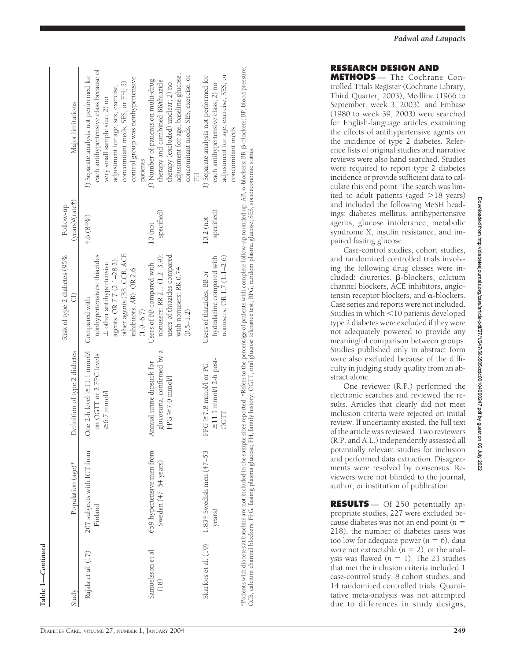| Study                     | Population (age)*                                 | Definition of type 2 diabetes                                                                  | Risk of type 2 diabetes (95%<br>Ĵ                                                                                                                               | (years)/(rate†)<br>Follow-up | Major limitations                                                                                                                                                                                                                            |
|---------------------------|---------------------------------------------------|------------------------------------------------------------------------------------------------|-----------------------------------------------------------------------------------------------------------------------------------------------------------------|------------------------------|----------------------------------------------------------------------------------------------------------------------------------------------------------------------------------------------------------------------------------------------|
| Rajala et al. (17)        | 207 subjects with IGT from<br>Finland             | One 2-h level $\geq$ 11.1 mmol/l Compared with<br>on OGTT or 2 FPG levels<br>$\geq 6.7$ mmol/l | other agents (BB, CCB, ACE<br>nonhypertensives: thiazides<br>agents: OR 7.7 (2.1-28.2);<br>± other antihypertensive<br>inhibitors, AB): OR 2.6<br>$(1.0 - 6.7)$ | 4.6(84%)                     | each antihypertensive class because of<br>1) Separate analysis not performed for<br>control group was nonhypertensive<br>concomitant meds, SES, or FH; 3)<br>adjustment for age, sex, exercise,<br>very small sample size; 2) no<br>patients |
| Samuelsson et al.<br>(18) | 659 hypertensive men from<br>Sweden (47-54 years) | glucosuria, confirmed by a<br>Annual urine dipstick for<br>$FPG \ge 7.0$ mmol/l                | nonusers: RR 2.1 (1.2–3.9);<br>users of thiazides compared<br>Users of BB compared with<br>with nonusers: RR 0.74<br>$(0.5 - 1.2)$                              | specified)<br>10 (not        | adjustment for age, baseline glucose,<br>concomitant meds, SES, exercise, or<br>1) Number of patients on multi-drug<br>therapy and combined BB/thiazide<br>therapy (excluded) unclear; 2) no                                                 |
| Skarfors et al. (19)      | 1,834 Swedish men (47-53<br>years)                | $\geq$ 11.1 mmol $/$ 12-h post-<br>FPG $\geq 7.8$ mmol/l or PG<br><b>CGTT</b>                  | hydralazine compared with<br>nonusers: OR 1.7 (1.1–2.6)<br>Users of thiazides, BB or                                                                            | specified)<br>$10.2$ (not    | adjustment for age, exercise, SES, or<br>1) Separate analysis not performed for<br>each antihypertensive class; 2) no<br>concomitant meds                                                                                                    |

CCB, calcium channel blockers; FPG, fasting plasma glucose; FH, family history; OGTT, oral glucose tolerance test; RPG, random plasma glucose; SES, socioeconomic status.

calcium channel blockers; FPG, fasting plasma glucose; FH, family history; OGTT, oral glucose tolerance test;

CCB.

socioeconomic status

RPG, random plasma glucose; SES,

*Padwal and Laupacis*

**RESEARCH DESIGN AND**

**METHODS** — The Cochrane Controlled Trials Register (Cochrane Library, Third Quarter, 2003), Medline (1966 to September, week 3, 2003), and Embase (1980 to week 39, 2003) were searched for English-language articles examining the effects of antihypertensive agents on the incidence of type 2 diabetes. Reference lists of original studies and narrative reviews were also hand searched. Studies were required to report type 2 diabetes incidence or provide sufficient data to calculate this end point. The search was limited to adult patients (aged  $>18$  years) and included the following MeSH headings: diabetes mellitus, antihypertensive agents, glucose intolerance, metabolic syndrome X, insulin resistance, and impaired fasting glucose.

Case-control studies, cohort studies, and randomized controlled trials involving the following drug classes were included: diuretics,  $\beta$ -blockers, calcium channel blockers, ACE inhibitors, angiotensin receptor blockers, and  $\alpha$ -blockers. Case series and reports were not included. Studies in which 10 patients developed type 2 diabetes were excluded if they were not adequately powered to provide any meaningful comparison between groups. Studies published only in abstract form were also excluded because of the diffi culty in judging study quality from an abstract alone.

One reviewer (R.P.) performed the electronic searches and reviewed the results. Articles that clearly did not meet inclusion criteria were rejected on initial review. If uncertainty existed, the full text of the article was reviewed. Two reviewers (R.P. and A.L.) independently assessed all potentially relevant studies for inclusion and performed data extraction. Disagreements were resolved by consensus. Reviewers were not blinded to the journal, author, or institution of publication.

**RESULTS** — Of 250 potentially appropriate studies, 227 were excluded because diabetes was not an end point (*n* 218), the number of diabetes cases was too low for adequate power  $(n = 6)$ , data were not extractable  $(n = 2)$ , or the analysis was flawed  $(n = 1)$ . The 23 studies that met the inclusion criteria included 1 case-control study, 8 cohort studies, and 14 randomized controlled trials. Quantitative meta-analysis was not attempted due to differences in study designs,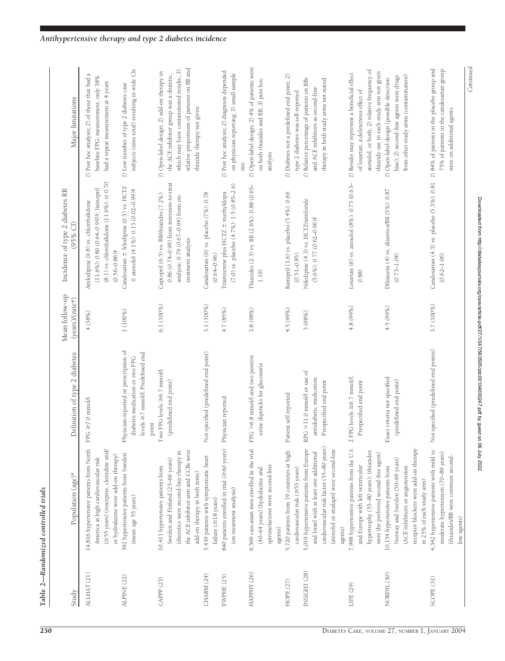| Study                       | Population (age)*                                                                                                                                                                                                                                                   | efinition of type 2 diabetes                                                                                               | Mean follow-up<br>(years)/(rate†) | Incidence of type 2 diabetes RR<br>$(95%$ CI)                                                                                                                                 | Major limitations                                                                                                                                                                                            |
|-----------------------------|---------------------------------------------------------------------------------------------------------------------------------------------------------------------------------------------------------------------------------------------------------------------|----------------------------------------------------------------------------------------------------------------------------|-----------------------------------|-------------------------------------------------------------------------------------------------------------------------------------------------------------------------------|--------------------------------------------------------------------------------------------------------------------------------------------------------------------------------------------------------------|
| ALLHAT (21)                 | 14,816 hypertensive patients from North<br>(≥55 years) (reserpine, clonidine and/<br>or hydralazine were add-on therapy)<br>America at high cardiovascular risk                                                                                                     | $FPG \ge 7.0 \text{ mmol}/1$                                                                                               | 4(38%)                            | $(8.1)$ vs. chlorthalid<br>one $(11.6\%).$ $\rm{rr}$ $\rm{0.70}$<br>$(11.6\%)$ : 0.80 $(0.64-0.99)$ #; lisinopril<br>Amlodipine (9.8) vs. chlorthalidone<br>$(0.56 - 0.86)$ # | 1) Post hoc analysis; 2) of those that had a<br>baseline FPG; measurement, only 38%<br>had a repeat measurement at 4 years                                                                                   |
| ALPINE (22)                 | 392 hypertensive patients from Sweden<br>(mean age 55 years)                                                                                                                                                                                                        | Physician-reported or prescription of<br>levels $\geq$ 7 mmol/l. Predefined end<br>diabetes medication or two FPG<br>point | 1 (100%)                          | Candesartan ± felodipine (0.5) vs. HCTZ<br>± atenolol (4.1%): 0.13 (0.02-0.99)#                                                                                               | subjects (nine total) resulting in wide CIs<br>1) Low number of type 2 diabetes case                                                                                                                         |
| CAPPP (23)                  | the ACE inhibitor arm and CCBs were<br>(diuretics were second-line therapy in<br>Sweden and Finland (25-66 years)<br>10,413 hypertensive patients from<br>add-on therapy in both arms)                                                                              | Two FPG levels $\geq 6.7$ mmol/l<br>(predefined end point)                                                                 | 6.1 (100%)                        | $0.86$ (0.74–0.99) from intention-to-treat<br>Captopril (6.5) vs. BB/thiazides (7.2%):<br>analysis; 0.79 (0.67-0.94) from on-<br>treatment analysis                           | relative proportions of patients on BB and<br>which may have contaminated results; 3)<br>1) Open-label design; 2) add-on therapy in<br>the ACE inhibitor group was a diuretic,<br>thiazide therapy not given |
| CHARM (24)                  | 5,439 patients with symptomatic heart<br>failure $(\geq 18$ years)                                                                                                                                                                                                  | specified (predefined end point)<br>$\sum_{i=1}^{n}$                                                                       | 3.1 (100%)                        | Candesartan (6) vs. placebo (7%): 0.78<br>$(0.64 - 0.96)$                                                                                                                     |                                                                                                                                                                                                              |
| EWPHE (25)                  | 840 patients enrolled in trial (≥60 years)<br>(on-treatment analysis)                                                                                                                                                                                               | Physician reported                                                                                                         | 4.7 (85%)                         | $(7.0)$ vs. placebo $(4.7\%)$ : 1.5 $(0.85-2.6)$<br>Triamterene plus HCTZ ± methyldopa                                                                                        | 1) Post hoc analysis; 2) diagnosis depended<br>on physician reporting; 3) small sample<br>size                                                                                                               |
| HAPPHY <sub>(26)</sub>      | 6,569 caucasian men enrolled in the trial<br>spironolactone were second-line<br>(40-64 years) (hydralazine and<br>agents)                                                                                                                                           | FPG >6.8 mmol/l and two positive<br>urine dipsticks for glucosuria                                                         | 3.8 (98%)                         | Thiazides (2.3) vs. BB (2.6%): 0.88 (0.65-<br>1.19)                                                                                                                           | 1) Open-label design; 2) 4% of patients were<br>on both thiazides and BB; 3) post hoc<br>analysis                                                                                                            |
| INSIGHT (28)<br>HOPE $(27)$ | cardiovascular risk factor (55-80 years)<br>5,019 hypertensive patients from Europe<br>(atenolol or enalapril were second-line<br>5,720 patients from 19 countries at high<br>and Israel with at least one additional<br>cardiovascular risk (≥55 years)<br>agents) | RPG >11.0 mmol/l or use of<br>antidiabetic medication.<br>Prespecified end point<br>Patient self reported                  | 4.5 (99%)<br>3 (98%)              | Ramipril (3.6) vs. placebo (5.4%): 0.66<br>Nifedipine (4.3) vs. HCTZ/amiloride<br>$(5.6\%)$ : 0.77 $(0.62 - 0.96)$ #<br>$(0.51 - 0.85)$                                       | 1) Diabetes not a predefined end point; 2)<br>1) Relative percentage of patients on BBs<br>therapy in both study arms not stated<br>and ACE inhibitors as second-line<br>type 2 diabetes was self-reported   |
| <b>LIFE</b> (29)            | 7,998 hypertensive patients from the U.S.<br>hypertrophy (55-80 years); (thiazides<br>were the preferred second-line agent)<br>and Europe with left ventricular                                                                                                     | 2 FPG levels $\geq 6.7$ mmol/l<br>Prespecified end point                                                                   | 4.8 (99%)                         | Losartan (6) vs. atenolol (8%): 0.75 (0.63-<br>0.88)                                                                                                                          | atenolol, or both; 2) relative frequency of<br>thiazide use in each study arm not given<br>1) Results may represent a beneficial effect<br>of losartan, a deleterious effect of                              |
| NORDIL <sup>(30)</sup>      | receptor blockers were add-on therapy<br>Norway and Sweden (50-69 years)<br>(ACE inhibitors or angiotension<br>10,154 hypertensive patients from<br>in 25% of each study arm)                                                                                       | Exact criteria not specified<br>(predefined end point)                                                                     | 4.5 (99%)                         | Diltiazem (4) vs. diuretics/BB (5%): 0.87<br>$(0.73 - 1.04)$                                                                                                                  | from other study arms (contamination)<br>bias); 2) second-line agents were drugs<br>1) Open-label design (possible detection                                                                                 |
| SCOPE <sub>(31)</sub>       | 4,342 hypertensive patients with mild to<br>moderate hypertension (70-89 years)<br>(thiazides/BB were common second-<br>line agents)                                                                                                                                | specified (predefined end points)<br>Not                                                                                   | 3.7 (100%)                        | Candesartan (4.3) vs. placebo (5.3%): 0.81<br>$(0.62 - 1.06)$                                                                                                                 | Continued<br>1) 84% of patients in the placebo group and<br>75% of patients in the candesartan group<br>were on additional agents                                                                            |

Downloaded from http://diabetesjournals.org/care/article-pdf/27/1/247/563505/zdc00104000247.pdf by guest on 06 July 2022

Downloaded from http://diabetesjournals.org/care/article-pdf/27/1/24/763505/zdc00104000247.pdf by guest on 06 July 2022

**Table 2 —***Randomized controlled trials*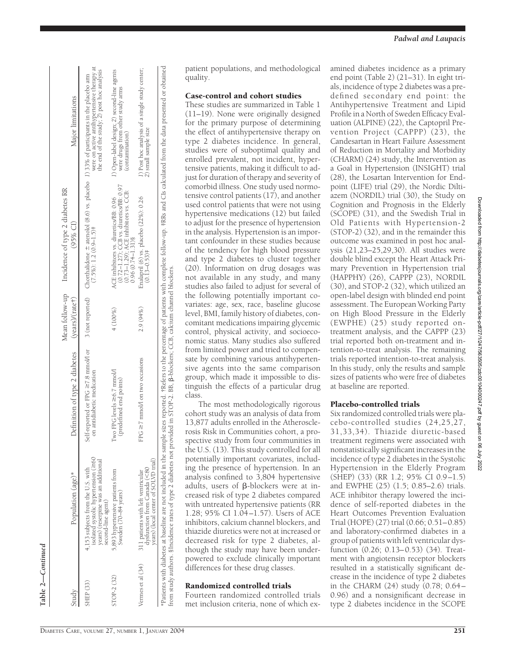| Study             | Population (age)*                                                                                                                     | Definition of type 2 diabetes                                     | Mean follow-up<br>$(years)/(rate+)$ | Incidence of type 2 diabetes RR<br>$(95%$ CI)                                                                                                     | Major limitations                                                                                                                                                                                            |
|-------------------|---------------------------------------------------------------------------------------------------------------------------------------|-------------------------------------------------------------------|-------------------------------------|---------------------------------------------------------------------------------------------------------------------------------------------------|--------------------------------------------------------------------------------------------------------------------------------------------------------------------------------------------------------------|
| <b>SHEP</b> (33)  | isolated systolic hypertension (260<br>years) (reserpine was an additional<br>4,153 subjects from the U.S. with<br>second-line agent) | Self-reported or FPG ≥7.8 mmol/l or<br>on antidiabetic medication |                                     | 3 (not reported) Chorthalidone $\pm$ atenolol (8.6) vs. placebo 1) 33% of participants in the placebo arm<br>$(7.5\%)$ : 1.2 $(0.9-1.5)$ #        | were on active antihypertensive therapy at<br>the end of the study; 2) post hoc analysis                                                                                                                     |
| STOP-2 (32)       | 5,893 hypertensive patients from<br>Sweden (70-84 years)                                                                              | Two FPG levels $\geq 6.7$ mmol/l<br>(predefined end points)       | 4(100%)                             | (0.72–1.27); CCB vs. diuretics/BB: 0.97<br>(0.73-1.29); ACE inhibitors vs. CCB:<br>ACE inhibitors vs. diuretics/BB: 0.96<br>$0.96(0.74 - 1.31)$ 8 | 1) Open-label design; 2) second-line agents<br>were drugs from other study arms<br>(contamination)                                                                                                           |
| Vermes et al (34) | years) (local center of SOLVD trial)<br>dysfunction from Canada (<80<br>311 patients with left ventricular                            | FPG $\geq$ 7 mmol/l on two occasions                              | 2.9(94%)                            | Enalapril (6) vs. placebo (22%): 0.26<br>$(0.13 - 0.53)$ #                                                                                        | 1) Post hoc analysis of a single study center;<br>2) small sample size                                                                                                                                       |
|                   | from study authors. Sincidence rates of type 2 diabetes not provided in STOP-2. BB, B-blockers; CCB, calcium channel blockers.        |                                                                   |                                     |                                                                                                                                                   | Patients with diabetes at baseline are not included in the sample sizes reported. †Refers to the percentage of patients with complete follow-up. ‡RRs and CIs calculated from the data presented or obtained |

patient populations, and methodological quality.

#### Case-control and cohort studies

These studies are summarized in Table 1 (11–19). None were originally designed for the primary purpose of determining the effect of antihypertensive therapy on type 2 diabetes incidence. In general, studies were of suboptimal quality and enrolled prevalent, not incident, hypertensive patients, making it difficult to adjust for duration of therapy and severity of comorbid illness. One study used normotensive control patients (17), and another used control patients that were not using hypertensive medications (12) but failed to adjust for the presence of hypertension in the analysis. Hypertension is an important confounder in these studies because of the tendency for high blood pressure and type 2 diabetes to cluster together (20). Information on drug dosages was not available in any study, and many studies also failed to adjust for several of the following potentially important covariates: age, sex, race, baseline glucose level, BMI, family history of diabetes, concomitant medications impairing glycemic control, physical activity, and socioeconomic status. Many studies also suffered from limited power and tried to compensate by combining various antihypertensive agents into the same comparison group, which made it impossible to distinguish the effects of a particular drug class.

The most methodologically rigorous cohort study was an analysis of data from 13,877 adults enrolled in the Atherosclerosis Risk in Communities cohort, a prospective study from four communities in the U.S. (13). This study controlled for all potentially important covariates, including the presence of hypertension. In an analysis confined to 3,804 hypertensive adults, users of  $\beta$ -blockers were at increased risk of type 2 diabetes compared with untreated hypertensive patients (RR 1.28; 95% CI 1.04–1.57). Users of ACE inhibitors, calcium channel blockers, and thiazide diuretics were not at increased or decreased risk for type 2 diabetes, although the study may have been underpowered to exclude clinically important differences for these drug classes.

## Randomized controlled trials

Fourteen randomized controlled trials met inclusion criteria, none of which examined diabetes incidence as a primary end point (Table 2) (21–31). In eight trials, incidence of type 2 diabetes was a predefined secondary end point: the Antihypertensive Treatment and Lipid Profile in a North of Sweden Efficacy Evaluation (ALPINE) (22), the Captopril Prevention Project (CAPPP)  $(23)$ , the Candesartan in Heart Failure Assessment of Reduction in Mortality and Morbidity (CHARM) (24) study, the Intervention as a Goal in Hypertension (INSIGHT) trial (28), the Losartan Intervention for Endpoint (LIFE) trial (29), the Nordic Diltiazem (NORDIL) trial (30), the Study on Cognition and Prognosis in the Elderly (SCOPE) (31), and the Swedish Trial in Old Patients with Hypertension-2 (STOP-2) (32), and in the remainder this outcome was examined in post hoc analysis (21,23–25,29,30). All studies were double blind except the Heart Attack Primary Prevention in Hypertension trial (HAPPHY) (26), CAPPP (23), NORDIL (30), and STOP-2 (32), which utilized an open-label design with blinded end point assessment. The European Working Party on High Blood Pressure in the Elderly (EWPHE) (25) study reported ontreatment analysis, and the CAPPP (23) trial reported both on-treatment and intention-to-treat analysis. The remaining trials reported intention-to-treat analysis. In this study, only the results and sample sizes of patients who were free of diabetes at baseline are reported.

## Placebo-controlled trials

Six randomized controlled trials were placebo-controlled studies (24,25,27, 31,33,34). Thiazide diuretic-based treatment regimens were associated with nonstatistically significant increases in the incidence of type 2 diabetes in the Systolic Hypertension in the Elderly Program (SHEP) (33) (RR 1.2; 95% CI 0.9–1.5) and EWPHE (25) (1.5; 0.85–2.6) trials. ACE inhibitor therapy lowered the incidence of self-reported diabetes in the Heart Outcomes Prevention Evaluation Trial (HOPE) (27) trial (0.66; 0.51–0.85) and laboratory-confirmed diabetes in a group of patients with left ventricular dysfunction (0.26; 0.13–0.53) (34). Treatment with angiotensin receptor blockers resulted in a statistically significant decrease in the incidence of type 2 diabetes in the CHARM (24) study (0.78; 0.64– 0.96) and a nonsignificant decrease in type 2 diabetes incidence in the SCOPE

Downloaded from http://diabetesjournals.org/care/article-pdf/27/1/247/563505/zdc00104000247.pdf by guest on 06 July 2022Downloaded from http://diabetesjournals.org/care/article-pdf/27/1/247/663505/zdc00104000247.pdf by guest on 06 July 2022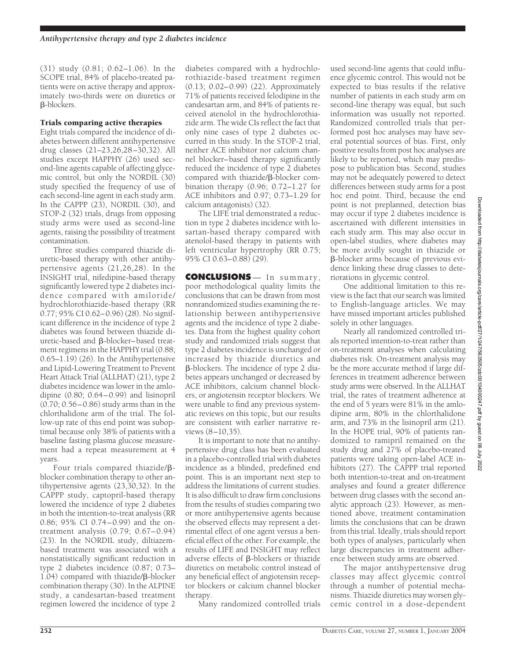(31) study (0.81; 0.62–1.06). In the SCOPE trial, 84% of placebo-treated patients were on active therapy and approximately two-thirds were on diuretics or -blockers.

### Trials comparing active therapies

Eight trials compared the incidence of diabetes between different antihypertensive drug classes (21–23,26,28 –30,32). All studies except HAPPHY (26) used second-line agents capable of affecting glycemic control, but only the NORDIL (30) study specified the frequency of use of each second-line agent in each study arm. In the CAPPP (23), NORDIL (30), and STOP-2 (32) trials, drugs from opposing study arms were used as second-line agents, raising the possibility of treatment contamination.

Three studies compared thiazide diuretic-based therapy with other antihypertensive agents (21,26,28). In the INSIGHT trial, nifedipine-based therapy significantly lowered type 2 diabetes incidence compared with amiloride/ hydrochlorothiazide-based therapy (RR 0.77; 95% CI 0.62–0.96) (28). No significant difference in the incidence of type 2 diabetes was found between thiazide di $uretic-based$  and  $\beta$ -blocker–based treatment regimens in the HAPPHY trial (0.88; 0.65–1.19) (26). In the Antihypertensive and Lipid-Lowering Treatment to Prevent Heart Attack Trial (ALLHAT) (21), type 2 diabetes incidence was lower in the amlodipine (0.80; 0.64–0.99) and lisinopril (0.70; 0.56–0.86) study arms than in the chlorthalidone arm of the trial. The follow-up rate of this end point was suboptimal because only 38% of patients with a baseline fasting plasma glucose measurement had a repeat measurement at 4 years.

Four trials compared thiazide/ $\beta$ blocker combination therapy to other antihypertensive agents (23,30,32). In the CAPPP study, captopril-based therapy lowered the incidence of type 2 diabetes in both the intention-to-treat analysis (RR 0.86; 95% CI 0.74–0.99) and the ontreatment analysis (0.79; 0.67– 0.94) (23). In the NORDIL study, diltiazembased treatment was associated with a nonstatistically significant reduction in type 2 diabetes incidence (0.87; 0.73– 1.04) compared with thiazide/ $\beta$ -blocker combination therapy (30). In the ALPINE study, a candesartan-based treatment regimen lowered the incidence of type 2

diabetes compared with a hydrochlorothiazide-based treatment regimen (0.13; 0.02–0.99) (22). Approximately 71% of patients received felodipine in the candesartan arm, and 84% of patients received atenolol in the hydrochlorothiazide arm. The wide CIs reflect the fact that only nine cases of type 2 diabetes occurred in this study. In the STOP-2 trial, neither ACE inhibitor nor calcium channel blocker–based therapy significantly reduced the incidence of type 2 diabetes compared with thiazide/ $\beta$ -blocker combination therapy (0.96; 0.72–1.27 for ACE inhibitors and 0.97; 0.73–1.29 for calcium antagonists) (32).

The LIFE trial demonstrated a reduction in type 2 diabetes incidence with losartan-based therapy compared with atenolol-based therapy in patients with left ventricular hypertrophy (RR 0.75; 95% CI 0.63–0.88) (29).

**CONCLUSIONS** — In summary, poor methodological quality limits the conclusions that can be drawn from most nonrandomized studies examining the relationship between antihypertensive agents and the incidence of type 2 diabetes. Data from the highest quality cohort study and randomized trials suggest that type 2 diabetes incidence is unchanged or increased by thiazide diuretics and -blockers. The incidence of type 2 diabetes appears unchanged or decreased by ACE inhibitors, calcium channel blockers, or angiotensin receptor blockers. We were unable to find any previous systematic reviews on this topic, but our results are consistent with earlier narrative reviews (8–10,35).

It is important to note that no antihypertensive drug class has been evaluated in a placebo-controlled trial with diabetes incidence as a blinded, predefined end point. This is an important next step to address the limitations of current studies. It is also difficult to draw firm conclusions from the results of studies comparing two or more antihypertensive agents because the observed effects may represent a detrimental effect of one agent versus a beneficial effect of the other. For example, the results of LIFE and INSIGHT may reflect adverse effects of  $\beta$ -blockers or thiazide diuretics on metabolic control instead of any beneficial effect of angiotensin receptor blockers or calcium channel blocker therapy.

Many randomized controlled trials

used second-line agents that could influence glycemic control. This would not be expected to bias results if the relative number of patients in each study arm on second-line therapy was equal, but such information was usually not reported. Randomized controlled trials that performed post hoc analyses may have several potential sources of bias. First, only positive results from post hoc analyses are likely to be reported, which may predispose to publication bias. Second, studies may not be adequately powered to detect differences between study arms for a post hoc end point. Third, because the end point is not preplanned, detection bias may occur if type 2 diabetes incidence is ascertained with different intensities in each study arm. This may also occur in open-label studies, where diabetes may be more avidly sought in thiazide or -blocker arms because of previous evidence linking these drug classes to deteriorations in glycemic control.

One additional limitation to this review is the fact that our search was limited to English-language articles. We may have missed important articles published solely in other languages.

Nearly all randomized controlled trials reported intention-to-treat rather than on-treatment analyses when calculating diabetes risk. On-treatment analysis may be the more accurate method if large differences in treatment adherence between study arms were observed. In the ALLHAT trial, the rates of treatment adherence at the end of 5 years were 81% in the amlodipine arm, 80% in the chlorthalidone arm, and 73% in the lisinopril arm (21). In the HOPE trial, 90% of patients randomized to ramipril remained on the study drug and 27% of placebo-treated patients were taking open-label ACE inhibitors (27). The CAPPP trial reported both intention-to-treat and on-treatment analyses and found a greater difference between drug classes with the second analytic approach (23). However, as mentioned above, treatment contamination limits the conclusions that can be drawn from this trial. Ideally, trials should report both types of analyses, particularly when large discrepancies in treatment adherence between study arms are observed.

The major antihypertensive drug classes may affect glycemic control through a number of potential mechanisms. Thiazide diuretics may worsen glycemic control in a dose-dependent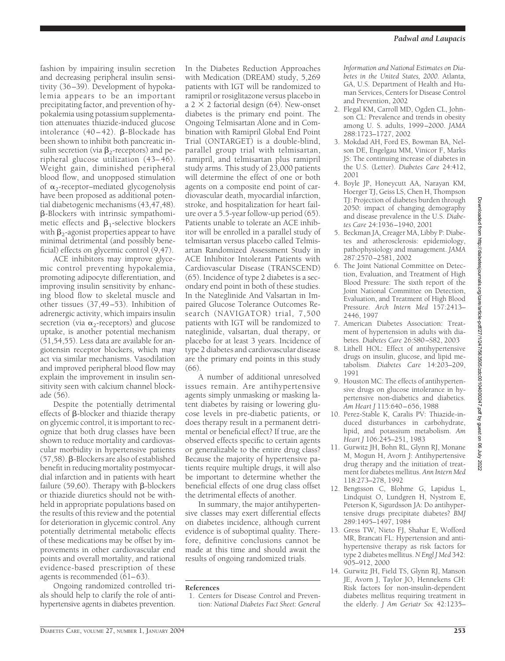fashion by impairing insulin secretion and decreasing peripheral insulin sensitivity (36–39). Development of hypokalemia appears to be an important precipitating factor, and prevention of hypokalemia using potassium supplementation attenuates thiazide-induced glucose intolerance  $(40-42)$ .  $\beta$ -Blockade has been shown to inhibit both pancreatic insulin secretion (via  $\beta_2$ -receptors) and peripheral glucose utilization (43– 46). Weight gain, diminished peripheral blood flow, and unopposed stimulation of  $\alpha$ <sub>2</sub>-receptor–mediated glycogenolysis have been proposed as additional potential diabetogenic mechanisms (43,47,48). -Blockers with intrinsic sympathomimetic effects and  $\beta_1$ -selective blockers with  $\beta_2$ -agonist properties appear to have minimal detrimental (and possibly beneficial) effects on glycemic control (9,47).

ACE inhibitors may improve glycemic control preventing hypokalemia, promoting adipocyte differentiation, and improving insulin sensitivity by enhancing blood flow to skeletal muscle and other tissues (37,49–53). Inhibition of adrenergic activity, which impairs insulin secretion (via  $\alpha_2$ -receptors) and glucose uptake, is another potential mechanism (51,54,55). Less data are available for angiotensin receptor blockers, which may act via similar mechanisms. Vasodilation and improved peripheral blood flow may explain the improvement in insulin sensitivity seen with calcium channel blockade (56).

Despite the potentially detrimental effects of  $\beta$ -blocker and thiazide therapy on glycemic control, it is important to recognize that both drug classes have been shown to reduce mortality and cardiovascular morbidity in hypertensive patients  $(57,58)$ .  $\beta$ -Blockers are also of established benefit in reducing mortality postmyocardial infarction and in patients with heart failure (59,60). Therapy with  $\beta$ -blockers or thiazide diuretics should not be withheld in appropriate populations based on the results of this review and the potential for deterioration in glycemic control. Any potentially detrimental metabolic effects of these medications may be offset by improvements in other cardiovascular end points and overall mortality, and rational evidence-based prescription of these agents is recommended (61–63).

Ongoing randomized controlled trials should help to clarify the role of antihypertensive agents in diabetes prevention. In the Diabetes Reduction Approaches with Medication (DREAM) study, 5,269 patients with IGT will be randomized to ramipril or rosiglitazone versus placebo in a 2  $\times$  2 factorial design (64). New-onset diabetes is the primary end point. The Ongoing Telmisartan Alone and in Combination with Ramipril Global End Point Trial (ONTARGET) is a double-blind, parallel group trial with telmisartan, ramipril, and telmisartan plus ramipril study arms. This study of 23,000 patients will determine the effect of one or both agents on a composite end point of cardiovascular death, myocardial infarction, stroke, and hospitalization for heart failure over a 5.5-year follow-up period (65). Patients unable to tolerate an ACE inhibitor will be enrolled in a parallel study of telmisartan versus placebo called Telmisartan Randomized Assessment Study in ACE Inhibitor Intolerant Patients with Cardiovascular Disease (TRANSCEND) (65). Incidence of type 2 diabetes is a secondary end point in both of these studies. In the Nateglinide And Valsartan in Impaired Glucose Tolerance Outcomes Research (NAVIGATOR) trial, 7,500 patients with IGT will be randomized to nateglinide, valsartan, dual therapy, or placebo for at least 3 years. Incidence of type 2 diabetes and cardiovascular disease are the primary end points in this study  $(66)$ 

A number of additional unresolved issues remain. Are antihypertensive agents simply unmasking or masking latent diabetes by raising or lowering glucose levels in pre-diabetic patients, or does therapy result in a permanent detrimental or beneficial effect? If true, are the observed effects specific to certain agents or generalizable to the entire drug class? Because the majority of hypertensive patients require multiple drugs, it will also be important to determine whether the beneficial effects of one drug class offset the detrimental effects of another.

In summary, the major antihypertensive classes may exert differential effects on diabetes incidence, although current evidence is of suboptimal quality. Therefore, definitive conclusions cannot be made at this time and should await the results of ongoing randomized trials.

#### **References**

1. Centers for Disease Control and Prevention: *National Diabetes Fact Sheet: General*

*Information and National Estimates on Diabetes in the United States, 2000.* Atlanta, GA, U.S. Department of Health and Human Services, Centers for Disease Control and Prevention, 2002

- 2. Flegal KM, Carroll MD, Ogden CL, Johnson CL: Prevalence and trends in obesity among U. S. adults, 1999–2000. *JAMA* 288:1723–1727, 2002
- 3. Mokdad AH, Ford ES, Bowman BA, Nelson DE, Engelgau MM, Vinicor F, Marks JS: The continuing increase of diabetes in the U.S. (Letter). *Diabetes Care* 24:412, 2001
- 4. Boyle JP, Honeycutt AA, Narayan KM, Hoerger TJ, Geiss LS, Chen H, Thompson TJ: Projection of diabetes burden through 2050: impact of changing demography and disease prevalence in the U.S. *Diabetes Care* 24:1936–1940, 2001
- 5. Beckman JA, Creager MA, Libby P: Diabetes and atherosclerosis: epidemiology, pathophysiology and management. *JAMA* 287:2570–2581, 2002
- 6. The Joint National Committee on Detection, Evaluation, and Treatment of High Blood Pressure: The sixth report of the Joint National Committee on Detection, Evaluation, and Treatment of High Blood Pressure. *Arch Intern Med* 157:2413– 2446, 1997
- 7. American Diabetes Association: Treatment of hypertension in adults with diabetes. *Diabetes Care* 26:S80–S82, 2003
- 8. Lithell HOL: Effect of antihypertensive drugs on insulin, glucose, and lipid metabolism. *Diabetes Care* 14:203–209, 1991
- 9. Houston MC: The effects of antihypertensive drugs on glucose intolerance in hypertensive non-diabetics and diabetics. *Am Heart J* 115:640–656, 1988
- 10. Perez-Stable K, Caralis PV: Thiazide-induced disturbances in carbohydrate, lipid, and potassium metabolism. *Am Heart J* 106:245–251, 1983
- 11. Gurwitz JH, Bohn RL, Glynn RJ, Monane M, Mogun H, Avorn J: Antihypertensive drug therapy and the initiation of treatment for diabetes mellitus. *Ann Intern Med* 118:273–278, 1992
- 12. Bengtsson C, Blohme G, Lapidus L, Lindquist O, Lundgren H, Nystrom E, Peterson K, Sigurdsson JA: Do antihypertensive drugs precipitate diabetes? *BMJ* 289:1495–1497, 1984
- 13. Gress TW, Nieto FJ, Shahar E, Wofford MR, Brancati FL: Hypertension and antihypertensive therapy as risk factors for type 2 diabetes mellitus.*N Engl J Med* 342: 905–912, 2000
- 14. Gurwitz JH, Field TS, Glynn RJ, Manson JE, Avorn J, Taylor JO, Hennekens CH: Risk factors for non-insulin-dependent diabetes mellitus requiring treatment in the elderly. *J Am Geriatr Soc* 42:1235–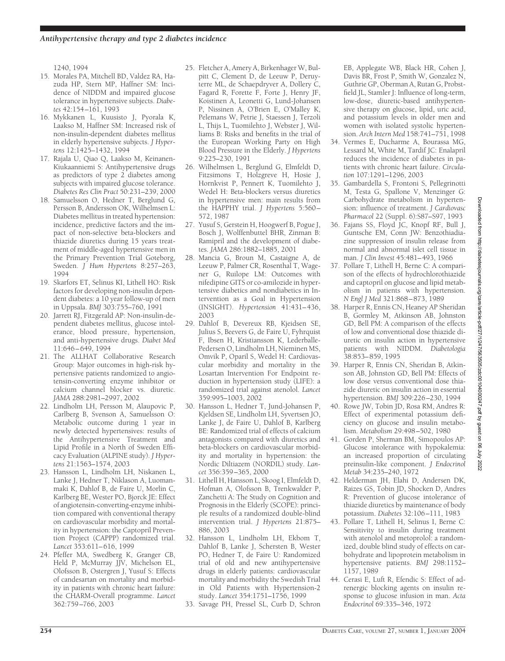1240, 1994

- 15. Morales PA, Mitchell BD, Valdez RA, Hazuda HP, Stern MP, Haffner SM: Incidence of NIDDM and impaired glucose tolerance in hypertensive subjects. *Diabetes* 42:154–161, 1993
- 16. Mykkanen L, Kuusisto J, Pyorala K, Laakso M, Haffner SM: Increased risk of non-insulin-dependent diabetes mellitus in elderly hypertensive subjects. *J Hypertens* 12:1425–1432, 1994
- 17. Rajala U, Qiao Q, Laakso M, Keinanen-Kiukaanniemi S: Antihypertensive drugs as predictors of type 2 diabetes among subjects with impaired glucose tolerance. *Diabetes Res Clin Pract* 50:231–239, 2000
- 18. Samuelsson O, Hedner T, Berglund G, Persson B, Andersson OK, Wilhelmsen L: Diabetes mellitus in treated hypertension: incidence, predictive factors and the impact of non-selective beta-blockers and thiazide diuretics during 15 years treatment of middle-aged hypertensive men in the Primary Prevention Trial Goteborg, Sweden. *J Hum Hypertens* 8:257–263, 1994
- 19. Skarfors ET, Selinus KI, Lithell HO: Risk factors for developing non-insulin dependent diabetes: a 10 year follow-up of men in Uppsala. *BMJ* 303:755–760, 1991
- 20. Jarrett RJ, Fitzgerald AP: Non-insulin-dependent diabetes mellitus, glucose intolerance, blood pressure, hypertension, and anti-hypertensive drugs. *Diabet Med* 11:646–649, 1994
- 21. The ALLHAT Collaborative Research Group: Major outcomes in high-risk hypertensive patients randomized to angiotensin-converting enzyme inhibitor or calcium channel blocker vs. diuretic. *JAMA* 288:2981–2997, 2002
- 22. Lindholm LH, Persson M, Alaupovic P, Carlberg B, Svenson A, Samuelsson O: Metabolic outcome during 1 year in newly detected hypertensives: results of the Antihypertensive Treatment and Lipid Profile in a North of Sweden Efficacy Evaluation (ALPINE study). *J Hypertens* 21:1563–1574, 2003
- 23. Hansson L, Lindholm LH, Niskanen L, Lanke J, Hedner T, Niklason A, Luomanmaki K, Dahlof B, de Faire U, Morlin C, Karlberg BE, Wester PO, Bjorck JE: Effect of angiotensin-converting-enzyme inhibition compared with conventional therapy on cardiovascular morbidity and mortality in hypertension: the Captopril Prevention Project (CAPPP) randomized trial. *Lancet* 353:611–616, 1999
- 24. Pfeffer MA, Swedberg K, Granger CB, Held P, McMurray JJV, Michelson EL, Olofsson B, Ostergren J, Yusuf S: Effects of candesartan on mortality and morbidity in patients with chronic heart failure: the CHARM-Overall programme. *Lancet* 362:759–766, 2003
- 25. Fletcher A, Amery A, Birkenhager W, Bulpitt C, Clement D, de Leeuw P, Deruyterre ML, de Schaepdryver A, Dollery C, Fagard R, Forette F, Forte J, Henry JF, Koistinen A, Leonetti G, Lund-Johansen P, Nissinen A, O'Brien E, O'Malley K, Pelemans W, Petrie J, Staessen J, Terzoli L, Thijs L, Tuomilehto J, Webster J, Williams B: Risks and benefits in the trial of the European Working Party on High Blood Pressure in the Elderly. *J Hypertens* 9:225–230, 1991
- 26. Wilhelmsen L, Berglund G, Elmfeldt D, Fitzsimons T, Holzgreve H, Hosie J, Hornkvist P, Pennert K, Tuomilehto J, Wedel H: Beta-blockers versus diuretics in hypertensive men: main results from the HAPPHY trial. *J Hypertens* 5:560– 572, 1987
- 27. Yusuf S, Gerstein H, Hoogwerf B, Pogue J, Bosch J, Wolffenbuttel BHR, Zinman B: Ramipril and the development of diabetes. *JAMA* 286:1882–1885, 2001
- 28. Mancia G, Broun M, Castaigne A, de Leeuw P, Palmer CR, Rosenthal T, Wagener G, Ruilope LM: Outcomes with nifedipine GITS or co-amilozide in hypertensive diabetics and nondiabetics in Intervention as a Goal in Hypertension (INSIGHT). *Hypertension* 41:431–436, 2003
- 29. Dahlof B, Devereux RB, Kjeidsen SE, Julius S, Beevers G, de Faire U, Fyhrquist F, Ibsen H, Kristiansson K, Lederballe-Pedersen O, Lindholm LH, Nieminen MS, Omvik P, Oparil S, Wedel H: Cardiovascular morbidity and mortality in the Losartan Intervention For Endpoint reduction in hypertension study (LIFE): a randomized trial against atenolol. *Lancet* 359:995–1003, 2002
- 30. Hansson L, Hedner T, Jund-Johansen P, Kjeldsen SE, Lindholm LH, Syvertsen JO, Lanke J, de Faire U, Dahlof B, Karlberg BE: Randomized trial of effects of calcium antagonists compared with diuretics and beta-blockers on cardiovascular morbidity and mortality in hypertension: the Nordic Diltiazem (NORDIL) study. *Lancet* 356:359–365, 2000
- 31. Lithell H, Hansson L, Skoog I, Elmfeldt D, Hofman A, Olofsson B, Trenkwalder P, Zanchetti A: The Study on Cognition and Prognosis in the Elderly (SCOPE): principle results of a randomized double-blind intervention trial. *J Hypertens* 21:875– 886, 2003
- 32. Hansson L, Lindholm LH, Ekbom T, Dahlof B, Lanke J, Schersten B, Wester PO, Hedner T, de Faire U: Randomized trial of old and new antihypertensive drugs in elderly patients: cardiovascular mortality and morbidity the Swedish Trial in Old Patients with Hypertension-2 study. *Lancet* 354:1751–1756, 1999
- 33. Savage PH, Pressel SL, Curb D, Schron

EB, Applegate WB, Black HR, Cohen J, Davis BR, Frost P, Smith W, Gonzalez N, Guthrie GP, Oberman A, Rutan G, Probstfield JL, Stamler J: Influence of long-term, low-dose, diuretic-based antihypertensive therapy on glucose, lipid, uric acid, and potassium levels in older men and women with isolated systolic hypertension. *Arch Intern Med* 158:741–751, 1998

- 34. Vermes E, Ducharme A, Bourassa MG, Lessard M, White M, Tardif JC: Enalapril reduces the incidence of diabetes in patients with chronic heart failure. *Circulation* 107:1291–1296, 2003
- 35. Gambardella S, Frontoni S, Pellegrinotti M, Testa G, Spallone V, Menzinger G: Carbohydrate metabolism in hypertension: influence of treatment. *J Cardiovasc Pharmacol* 22 (Suppl. 6):S87–S97, 1993
- 36. Fajans SS, Floyd JC, Knopf RF, Bull J, Guntsche EM, Conn JW: Benzothiadiazine suppression of insulin release from normal and abnormal islet cell tissue in man. *J Clin Invest* 45:481–493, 1966
- 37. Pollare T, Lithell H, Berne C: A comparison of the effects of hydrochlorothiazide and captopril on glucose and lipid metabolism in patients with hypertension. *N Engl J Med* 321:868–873, 1989
- 38. Harper R, Ennis CN, Heaney AP Sheridan B, Gormley M, Atkinson AB, Johnston GD, Bell PM: A comparison of the effects of low and conventional dose thiazide diuretic on insulin action in hypertensive patients with NIDDM. *Diabetologia* 38:853–859, 1995
- 39. Harper R, Ennis CN, Sheridan B, Atkinson AB, Johnston GD, Bell PM: Effects of low dose versus conventional dose thiazide diuretic on insulin action in essential hypertension. *BMJ* 309:226–230, 1994
- 40. Rowe JW, Tobin JD, Rosa RM, Andres R: Effect of experimental potassium deficiency on glucose and insulin metabolism. *Metabolism* 29:498–502, 1980
- 41. Gorden P, Sherman BM, Simopoulos AP: Glucose intolerance with hypokalemia: an increased proportion of circulating preinsulin-like component. *J Endocrinol Metab* 34:235–240, 1972
- 42. Helderman JH, Elahi D, Andersen DK, Raizes GS, Tobin JD, Shocken D, Andres R: Prevention of glucose intolerance of thiazide diuretics by maintenance of body potassium. *Diabetes* 32:106–111, 1983
- 43. Pollare T, Lithell H, Selinus I, Berne C: Sensitivity to insulin during treatment with atenolol and metoprolol: a randomized, double blind study of effects on carbohydrate and lipoprotein metabolism in hypertensive patients. *BMJ* 298:1152– 1157, 1989
- 44. Cerasi E, Luft R, Efendic S: Effect of adrenergic blocking agents on insulin response to glucose infusion in man. *Acta Endocrinol* 69:335–346, 1972